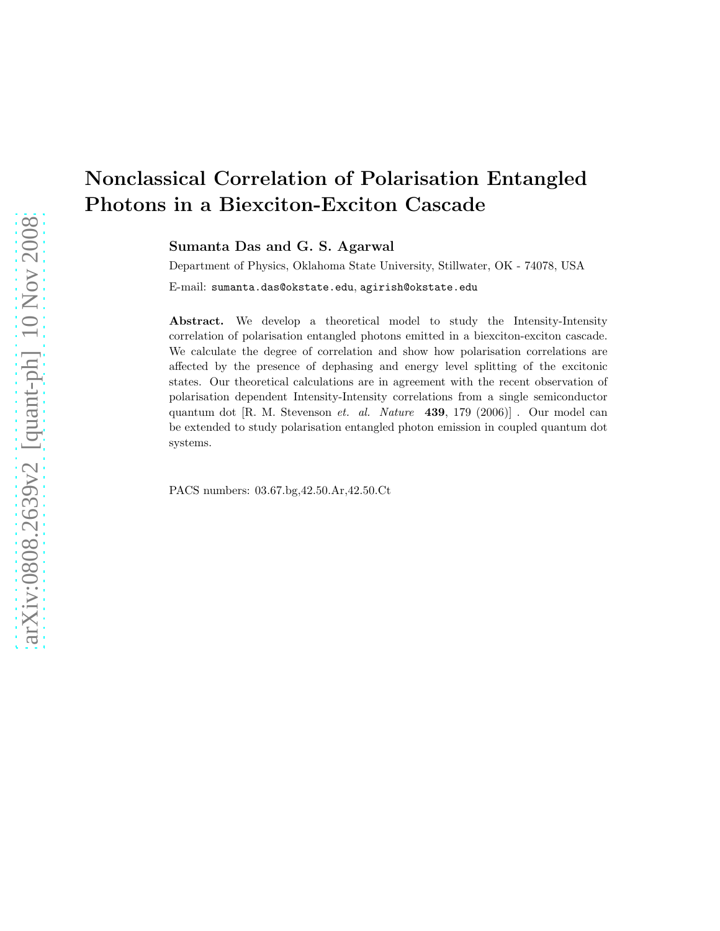Sumanta Das and G. S. Agarwal

Department of Physics, Oklahoma State University, Stillwater, OK - 74078, USA

E-mail: sumanta.das@okstate.edu, agirish@okstate.edu

Abstract. We develop a theoretical model to study the Intensity-Intensity correlation of polarisation entangled photons emitted in a biexciton-exciton cascade. We calculate the degree of correlation and show how polarisation correlations are affected by the presence of dephasing and energy level splitting of the excitonic states. Our theoretical calculations are in agreement with the recent observation of polarisation dependent Intensity-Intensity correlations from a single semiconductor quantum dot [R. M. Stevenson et. al. Nature  $\left(439, 179 \ (2006)\right]$ . Our model can be extended to study polarisation entangled photon emission in coupled quantum dot systems.

PACS numbers: 03.67.bg,42.50.Ar,42.50.Ct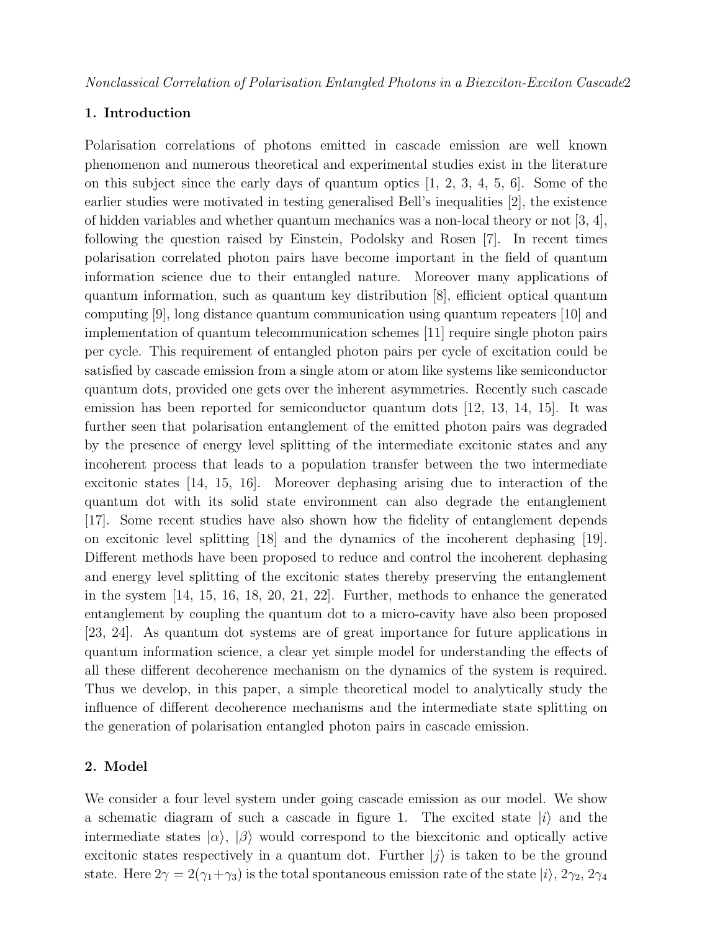# 1. Introduction

Polarisation correlations of photons emitted in cascade emission are well known phenomenon and numerous theoretical and experimental studies exist in the literature on this subject since the early days of quantum optics [1, 2, 3, 4, 5, 6]. Some of the earlier studies were motivated in testing generalised Bell's inequalities [2], the existence of hidden variables and whether quantum mechanics was a non-local theory or not  $[3, 4]$ , following the question raised by Einstein, Podolsky and Rosen [7]. In recent times polarisation correlated photon pairs have become important in the field of quantum information science due to their entangled nature. Moreover many applications of quantum information, such as quantum key distribution [8], efficient optical quantum computing [9], long distance quantum communication using quantum repeaters [10] and implementation of quantum telecommunication schemes [11] require single photon pairs per cycle. This requirement of entangled photon pairs per cycle of excitation could be satisfied by cascade emission from a single atom or atom like systems like semiconductor quantum dots, provided one gets over the inherent asymmetries. Recently such cascade emission has been reported for semiconductor quantum dots [12, 13, 14, 15]. It was further seen that polarisation entanglement of the emitted photon pairs was degraded by the presence of energy level splitting of the intermediate excitonic states and any incoherent process that leads to a population transfer between the two intermediate excitonic states [14, 15, 16]. Moreover dephasing arising due to interaction of the quantum dot with its solid state environment can also degrade the entanglement [17]. Some recent studies have also shown how the fidelity of entanglement depends on excitonic level splitting [18] and the dynamics of the incoherent dephasing [19]. Different methods have been proposed to reduce and control the incoherent dephasing and energy level splitting of the excitonic states thereby preserving the entanglement in the system [14, 15, 16, 18, 20, 21, 22]. Further, methods to enhance the generated entanglement by coupling the quantum dot to a micro-cavity have also been proposed [23, 24]. As quantum dot systems are of great importance for future applications in quantum information science, a clear yet simple model for understanding the effects of all these different decoherence mechanism on the dynamics of the system is required. Thus we develop, in this paper, a simple theoretical model to analytically study the influence of different decoherence mechanisms and the intermediate state splitting on the generation of polarisation entangled photon pairs in cascade emission.

# 2. Model

We consider a four level system under going cascade emission as our model. We show a schematic diagram of such a cascade in figure 1. The excited state  $|i\rangle$  and the intermediate states  $|\alpha\rangle$ ,  $|\beta\rangle$  would correspond to the biexcitonic and optically active excitonic states respectively in a quantum dot. Further  $|j\rangle$  is taken to be the ground state. Here  $2\gamma = 2(\gamma_1 + \gamma_3)$  is the total spontaneous emission rate of the state  $|i\rangle$ ,  $2\gamma_2$ ,  $2\gamma_4$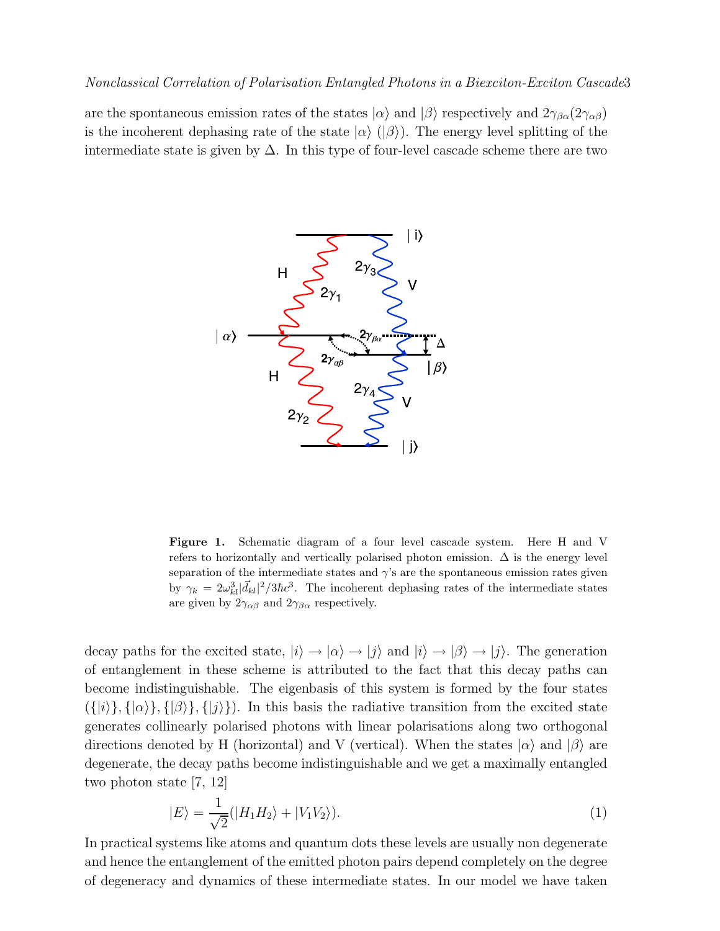are the spontaneous emission rates of the states  $|\alpha\rangle$  and  $|\beta\rangle$  respectively and  $2\gamma_{\beta\alpha}(2\gamma_{\alpha\beta})$ is the incoherent dephasing rate of the state  $|\alpha\rangle$  ( $|\beta\rangle$ ). The energy level splitting of the intermediate state is given by  $\Delta$ . In this type of four-level cascade scheme there are two



Figure 1. Schematic diagram of a four level cascade system. Here H and V refers to horizontally and vertically polarised photon emission.  $\Delta$  is the energy level separation of the intermediate states and  $\gamma$ 's are the spontaneous emission rates given by  $\gamma_k = 2\omega_{kl}^3 |\vec{d}_{kl}|^2 / 3\hbar c^3$ . The incoherent dephasing rates of the intermediate states are given by  $2\gamma_{\alpha\beta}$  and  $2\gamma_{\beta\alpha}$  respectively.

decay paths for the excited state,  $|i\rangle \rightarrow |\alpha\rangle \rightarrow |j\rangle$  and  $|i\rangle \rightarrow |\beta\rangle \rightarrow |j\rangle$ . The generation of entanglement in these scheme is attributed to the fact that this decay paths can become indistinguishable. The eigenbasis of this system is formed by the four states  $({\{|i\rangle}, {\{|a\rangle}\}, {\{|b\rangle}\}, {\{|j\rangle}\})$ . In this basis the radiative transition from the excited state generates collinearly polarised photons with linear polarisations along two orthogonal directions denoted by H (horizontal) and V (vertical). When the states  $|\alpha\rangle$  and  $|\beta\rangle$  are degenerate, the decay paths become indistinguishable and we get a maximally entangled two photon state [7, 12]

$$
|E\rangle = \frac{1}{\sqrt{2}}(|H_1H_2\rangle + |V_1V_2\rangle). \tag{1}
$$

In practical systems like atoms and quantum dots these levels are usually non degenerate and hence the entanglement of the emitted photon pairs depend completely on the degree of degeneracy and dynamics of these intermediate states. In our model we have taken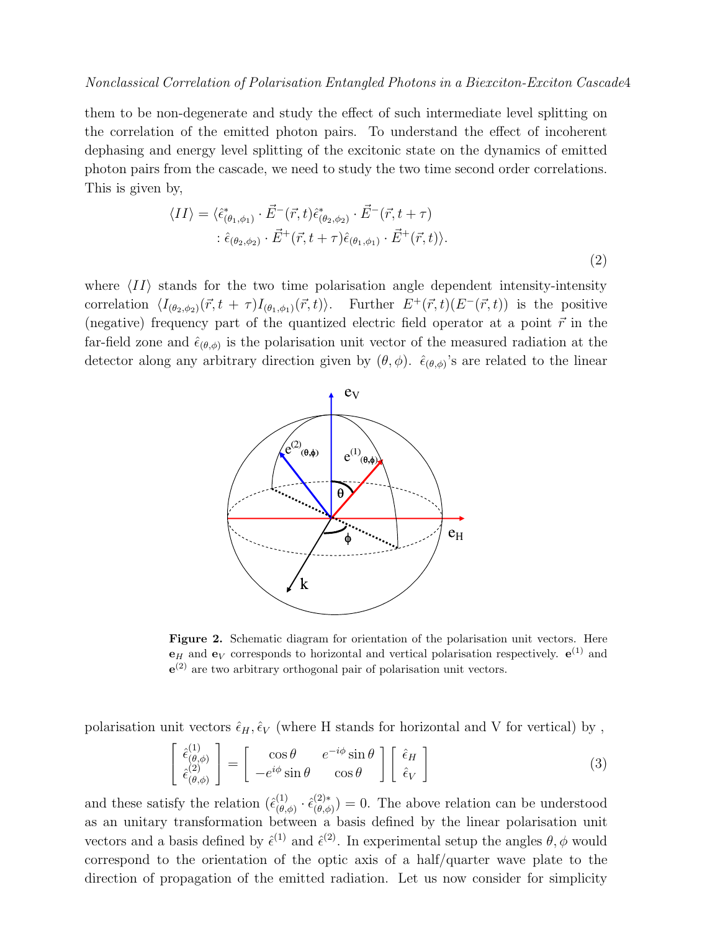them to be non-degenerate and study the effect of such intermediate level splitting on the correlation of the emitted photon pairs. To understand the effect of incoherent dephasing and energy level splitting of the excitonic state on the dynamics of emitted photon pairs from the cascade, we need to study the two time second order correlations. This is given by,

$$
\langle II \rangle = \langle \hat{\epsilon}^*_{(\theta_1, \phi_1)} \cdot \vec{E}^-(\vec{r}, t) \hat{\epsilon}^*_{(\theta_2, \phi_2)} \cdot \vec{E}^-(\vec{r}, t + \tau) \n\vdots \hat{\epsilon}_{(\theta_2, \phi_2)} \cdot \vec{E}^+(\vec{r}, t + \tau) \hat{\epsilon}_{(\theta_1, \phi_1)} \cdot \vec{E}^+(\vec{r}, t) \rangle.
$$
\n(2)

where  $\langle II \rangle$  stands for the two time polarisation angle dependent intensity-intensity correlation  $\langle I_{(\theta_2,\phi_2)}(\vec{r}, t + \tau)I_{(\theta_1,\phi_1)}(\vec{r}, t)\rangle$ . Further  $E^+(\vec{r}, t)(E^-(\vec{r}, t))$  is the positive (negative) frequency part of the quantized electric field operator at a point  $\vec{r}$  in the far-field zone and  $\hat{\epsilon}_{(\theta,\phi)}$  is the polarisation unit vector of the measured radiation at the detector along any arbitrary direction given by  $(\theta, \phi)$ .  $\hat{\epsilon}_{(\theta, \phi)}$ 's are related to the linear



Figure 2. Schematic diagram for orientation of the polarisation unit vectors. Here  ${\bf e}_H$  and  ${\bf e}_V$  corresponds to horizontal and vertical polarisation respectively.  ${\bf e}^{(1)}$  and  $e^{(2)}$  are two arbitrary orthogonal pair of polarisation unit vectors.

polarisation unit vectors  $\hat{\epsilon}_H, \hat{\epsilon}_V$  (where H stands for horizontal and V for vertical) by,

$$
\begin{bmatrix}\n\hat{\epsilon}_{(\theta,\phi)}^{(1)} \\
\hat{\epsilon}_{(\theta,\phi)}^{(2)}\n\end{bmatrix} = \begin{bmatrix}\n\cos\theta & e^{-i\phi}\sin\theta \\
-e^{i\phi}\sin\theta & \cos\theta\n\end{bmatrix} \begin{bmatrix}\n\hat{\epsilon}_H \\
\hat{\epsilon}_V\n\end{bmatrix}
$$
\n(3)

and these satisfy the relation  $(\hat{\epsilon}_{(\theta)}^{(1)})$  $\overset{(1)}{\scriptstyle(\theta,\phi)}\cdot\hat{\epsilon}_{(\theta,\phi}^{(2)*}$  $(\theta(\theta,\phi)) = 0$ . The above relation can be understood as an unitary transformation between a basis defined by the linear polarisation unit vectors and a basis defined by  $\hat{\epsilon}^{(1)}$  and  $\hat{\epsilon}^{(2)}$ . In experimental setup the angles  $\theta$ ,  $\phi$  would correspond to the orientation of the optic axis of a half/quarter wave plate to the direction of propagation of the emitted radiation. Let us now consider for simplicity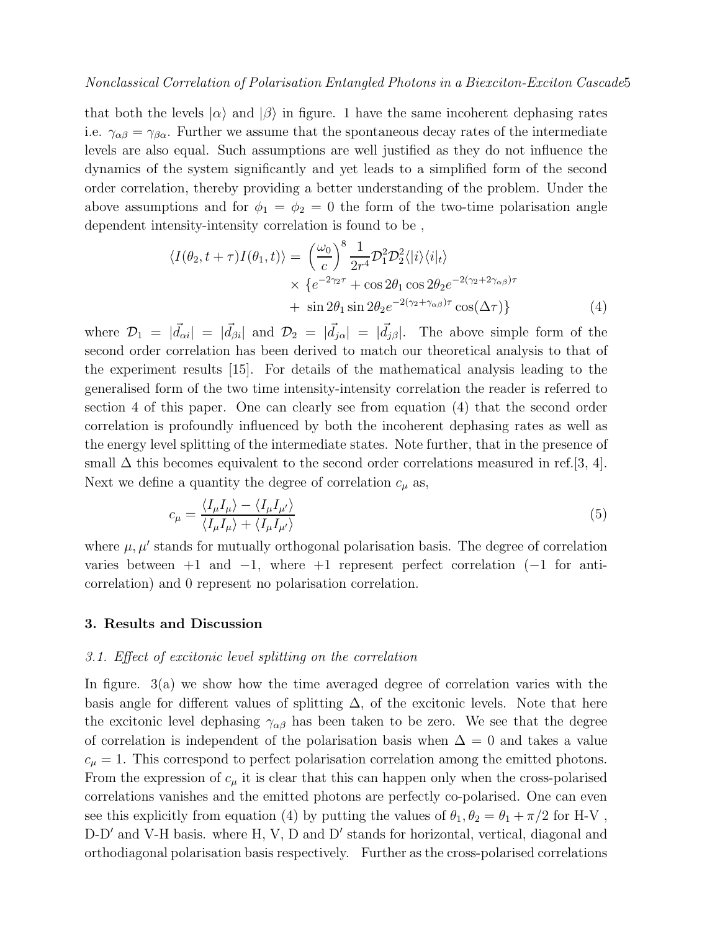that both the levels  $|\alpha\rangle$  and  $|\beta\rangle$  in figure. 1 have the same incoherent dephasing rates i.e.  $\gamma_{\alpha\beta} = \gamma_{\beta\alpha}$ . Further we assume that the spontaneous decay rates of the intermediate levels are also equal. Such assumptions are well justified as they do not influence the dynamics of the system significantly and yet leads to a simplified form of the second order correlation, thereby providing a better understanding of the problem. Under the above assumptions and for  $\phi_1 = \phi_2 = 0$  the form of the two-time polarisation angle dependent intensity-intensity correlation is found to be ,

$$
\langle I(\theta_2, t + \tau)I(\theta_1, t) \rangle = \left(\frac{\omega_0}{c}\right)^8 \frac{1}{2\tau^4} \mathcal{D}_1^2 \mathcal{D}_2^2 \langle |i\rangle \langle i|_t \rangle
$$
  
 
$$
\times \{e^{-2\gamma_2 \tau} + \cos 2\theta_1 \cos 2\theta_2 e^{-2(\gamma_2 + 2\gamma_{\alpha\beta})\tau} + \sin 2\theta_1 \sin 2\theta_2 e^{-2(\gamma_2 + \gamma_{\alpha\beta})\tau} \cos(\Delta \tau) \}
$$
(4)

where  $\mathcal{D}_1 = |\vec{d}_{\alpha i}| = |\vec{d}_{\beta i}|$  and  $\mathcal{D}_2 = |\vec{d}_{j\alpha}| = |\vec{d}_{j\beta}|$ . The above simple form of the second order correlation has been derived to match our theoretical analysis to that of the experiment results [15]. For details of the mathematical analysis leading to the generalised form of the two time intensity-intensity correlation the reader is referred to section 4 of this paper. One can clearly see from equation (4) that the second order correlation is profoundly influenced by both the incoherent dephasing rates as well as the energy level splitting of the intermediate states. Note further, that in the presence of small  $\Delta$  this becomes equivalent to the second order correlations measured in ref.[3, 4]. Next we define a quantity the degree of correlation  $c_{\mu}$  as,

$$
c_{\mu} = \frac{\langle I_{\mu}I_{\mu}\rangle - \langle I_{\mu}I_{\mu'}\rangle}{\langle I_{\mu}I_{\mu}\rangle + \langle I_{\mu}I_{\mu'}\rangle} \tag{5}
$$

where  $\mu$ ,  $\mu'$  stands for mutually orthogonal polarisation basis. The degree of correlation varies between  $+1$  and  $-1$ , where  $+1$  represent perfect correlation ( $-1$  for anticorrelation) and 0 represent no polarisation correlation.

## 3. Results and Discussion

#### 3.1. Effect of excitonic level splitting on the correlation

In figure. 3(a) we show how the time averaged degree of correlation varies with the basis angle for different values of splitting  $\Delta$ , of the excitonic levels. Note that here the excitonic level dephasing  $\gamma_{\alpha\beta}$  has been taken to be zero. We see that the degree of correlation is independent of the polarisation basis when  $\Delta = 0$  and takes a value  $c_{\mu} = 1$ . This correspond to perfect polarisation correlation among the emitted photons. From the expression of  $c_{\mu}$  it is clear that this can happen only when the cross-polarised correlations vanishes and the emitted photons are perfectly co-polarised. One can even see this explicitly from equation (4) by putting the values of  $\theta_1, \theta_2 = \theta_1 + \pi/2$  for H-V, D-D' and V-H basis. where H, V, D and D' stands for horizontal, vertical, diagonal and orthodiagonal polarisation basis respectively. Further as the cross-polarised correlations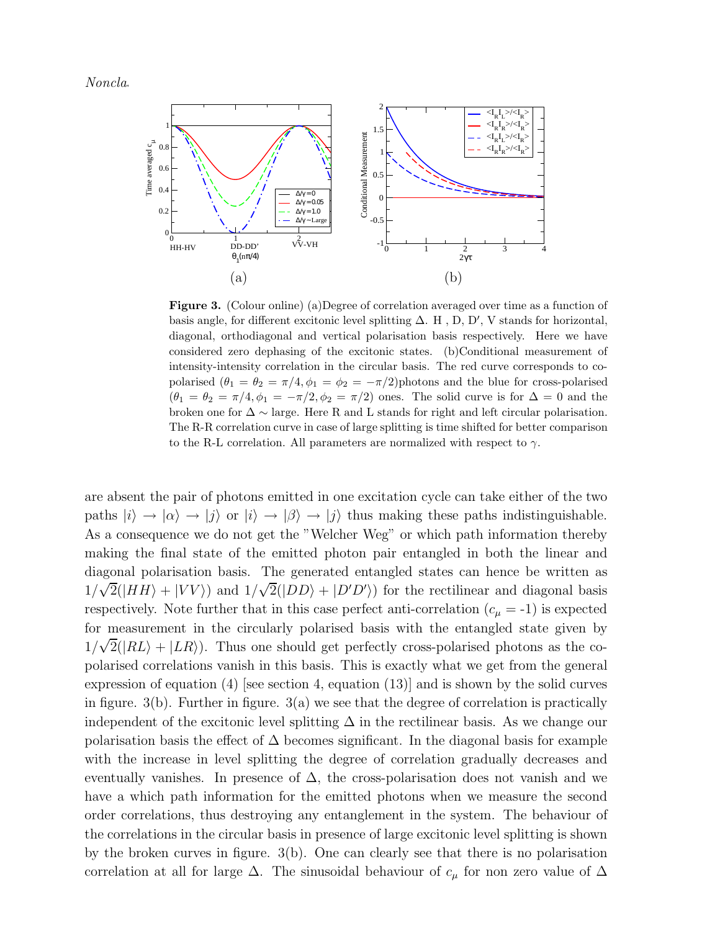$Noncla.$ 



Figure 3. (Colour online) (a)Degree of correlation averaged over time as a function of basis angle, for different excitonic level splitting  $\Delta$ . H, D, D', V stands for horizontal, diagonal, orthodiagonal and vertical polarisation basis respectively. Here we have considered zero dephasing of the excitonic states. (b)Conditional measurement of intensity-intensity correlation in the circular basis. The red curve corresponds to copolarised  $(\theta_1 = \theta_2 = \pi/4, \phi_1 = \phi_2 = -\pi/2)$ photons and the blue for cross-polarised  $(\theta_1 = \theta_2 = \pi/4, \phi_1 = -\pi/2, \phi_2 = \pi/2)$  ones. The solid curve is for  $\Delta = 0$  and the broken one for  $\Delta \sim$  large. Here R and L stands for right and left circular polarisation. The R-R correlation curve in case of large splitting is time shifted for better comparison to the R-L correlation. All parameters are normalized with respect to  $\gamma$ .

are absent the pair of photons emitted in one excitation cycle can take either of the two paths  $|i\rangle \rightarrow |\alpha\rangle \rightarrow |j\rangle$  or  $|i\rangle \rightarrow |\beta\rangle \rightarrow |j\rangle$  thus making these paths indistinguishable. As a consequence we do not get the "Welcher Weg" or which path information thereby making the final state of the emitted photon pair entangled in both the linear and diagonal polarisation basis. The generated entangled states can hence be written as  $1/\sqrt{2}(|HH\rangle + |VV\rangle)$  and  $1/\sqrt{2}(|DD\rangle + |D'D'\rangle)$  for the rectilinear and diagonal basis respectively. Note further that in this case perfect anti-correlation  $(c_{\mu} = -1)$  is expected for measurement in the circularly polarised basis with the entangled state given by  $1/\sqrt{2}(|RL\rangle + |LR\rangle)$ . Thus one should get perfectly cross-polarised photons as the copolarised correlations vanish in this basis. This is exactly what we get from the general expression of equation (4) [see section 4, equation (13)] and is shown by the solid curves in figure.  $3(b)$ . Further in figure.  $3(a)$  we see that the degree of correlation is practically independent of the excitonic level splitting  $\Delta$  in the rectilinear basis. As we change our polarisation basis the effect of  $\Delta$  becomes significant. In the diagonal basis for example with the increase in level splitting the degree of correlation gradually decreases and eventually vanishes. In presence of  $\Delta$ , the cross-polarisation does not vanish and we have a which path information for the emitted photons when we measure the second order correlations, thus destroying any entanglement in the system. The behaviour of the correlations in the circular basis in presence of large excitonic level splitting is shown by the broken curves in figure. 3(b). One can clearly see that there is no polarisation correlation at all for large  $\Delta$ . The sinusoidal behaviour of  $c_{\mu}$  for non zero value of  $\Delta$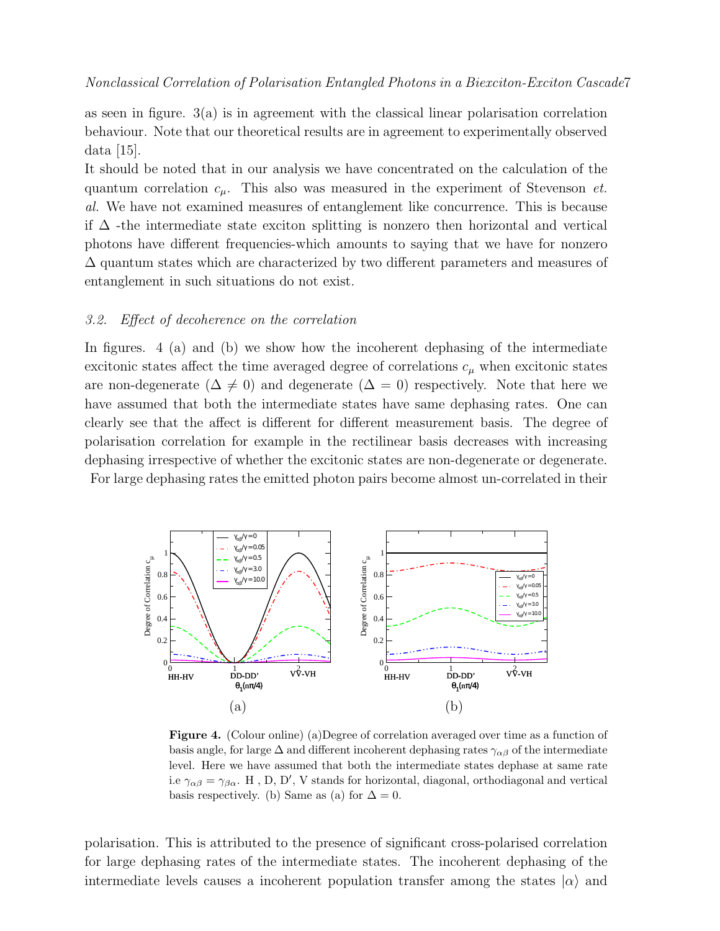as seen in figure. 3(a) is in agreement with the classical linear polarisation correlation behaviour. Note that our theoretical results are in agreement to experimentally observed data  $|15|$ .

It should be noted that in our analysis we have concentrated on the calculation of the quantum correlation  $c_{\mu}$ . This also was measured in the experiment of Stevenson *et*. al. We have not examined measures of entanglement like concurrence. This is because if  $\Delta$  -the intermediate state exciton splitting is nonzero then horizontal and vertical photons have different frequencies-which amounts to saying that we have for nonzero ∆ quantum states which are characterized by two different parameters and measures of entanglement in such situations do not exist.

#### 3.2. Effect of decoherence on the correlation

In figures. 4 (a) and (b) we show how the incoherent dephasing of the intermediate excitonic states affect the time averaged degree of correlations  $c_{\mu}$  when excitonic states are non-degenerate ( $\Delta \neq 0$ ) and degenerate ( $\Delta = 0$ ) respectively. Note that here we have assumed that both the intermediate states have same dephasing rates. One can clearly see that the affect is different for different measurement basis. The degree of polarisation correlation for example in the rectilinear basis decreases with increasing dephasing irrespective of whether the excitonic states are non-degenerate or degenerate.

For large dephasing rates the emitted photon pairs become almost un-correlated in their



Figure 4. (Colour online) (a)Degree of correlation averaged over time as a function of basis angle, for large  $\Delta$  and different incoherent dephasing rates  $\gamma_{\alpha\beta}$  of the intermediate level. Here we have assumed that both the intermediate states dephase at same rate i.e  $\gamma_{\alpha\beta} = \gamma_{\beta\alpha}$ . H, D, D', V stands for horizontal, diagonal, orthodiagonal and vertical basis respectively. (b) Same as (a) for  $\Delta = 0$ .

polarisation. This is attributed to the presence of significant cross-polarised correlation for large dephasing rates of the intermediate states. The incoherent dephasing of the intermediate levels causes a incoherent population transfer among the states  $|\alpha\rangle$  and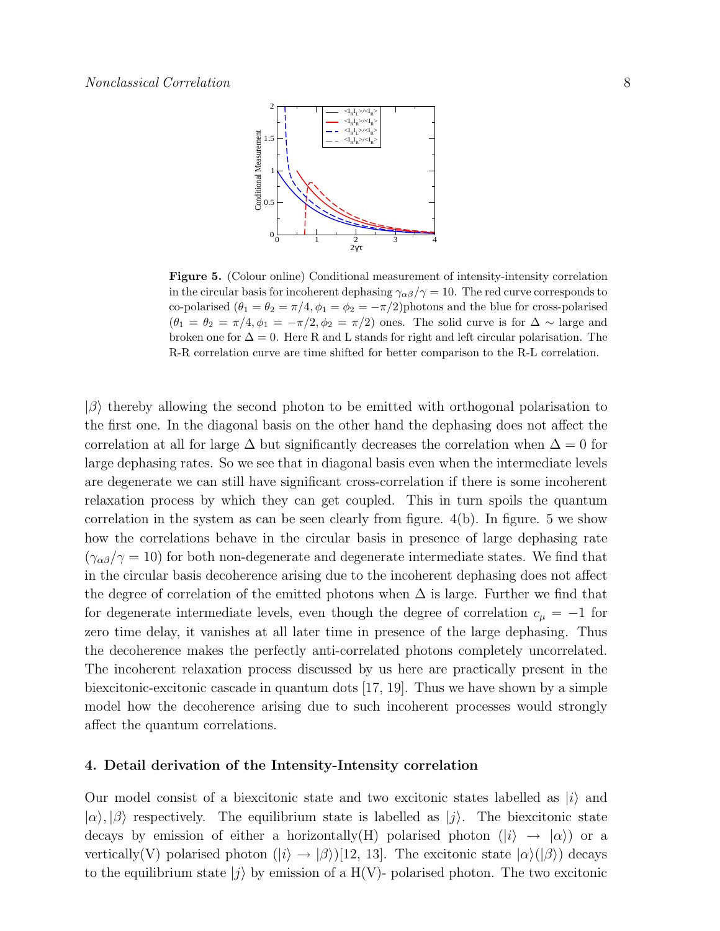

Figure 5. (Colour online) Conditional measurement of intensity-intensity correlation in the circular basis for incoherent dephasing  $\gamma_{\alpha\beta}/\gamma = 10$ . The red curve corresponds to co-polarised  $(\theta_1 = \theta_2 = \pi/4, \phi_1 = \phi_2 = -\pi/2)$ photons and the blue for cross-polarised  $(\theta_1 = \theta_2 = \pi/4, \phi_1 = -\pi/2, \phi_2 = \pi/2)$  ones. The solid curve is for  $\Delta \sim$  large and broken one for  $\Delta = 0$ . Here R and L stands for right and left circular polarisation. The R-R correlation curve are time shifted for better comparison to the R-L correlation.

 $|\beta\rangle$  thereby allowing the second photon to be emitted with orthogonal polarisation to the first one. In the diagonal basis on the other hand the dephasing does not affect the correlation at all for large  $\Delta$  but significantly decreases the correlation when  $\Delta = 0$  for large dephasing rates. So we see that in diagonal basis even when the intermediate levels are degenerate we can still have significant cross-correlation if there is some incoherent relaxation process by which they can get coupled. This in turn spoils the quantum correlation in the system as can be seen clearly from figure. 4(b). In figure. 5 we show how the correlations behave in the circular basis in presence of large dephasing rate  $(\gamma_{\alpha\beta}/\gamma=10)$  for both non-degenerate and degenerate intermediate states. We find that in the circular basis decoherence arising due to the incoherent dephasing does not affect the degree of correlation of the emitted photons when  $\Delta$  is large. Further we find that for degenerate intermediate levels, even though the degree of correlation  $c_{\mu} = -1$  for zero time delay, it vanishes at all later time in presence of the large dephasing. Thus the decoherence makes the perfectly anti-correlated photons completely uncorrelated. The incoherent relaxation process discussed by us here are practically present in the biexcitonic-excitonic cascade in quantum dots [17, 19]. Thus we have shown by a simple model how the decoherence arising due to such incoherent processes would strongly affect the quantum correlations.

#### 4. Detail derivation of the Intensity-Intensity correlation

Our model consist of a biexcitonic state and two excitonic states labelled as  $|i\rangle$  and  $|\alpha\rangle, |\beta\rangle$  respectively. The equilibrium state is labelled as  $|j\rangle$ . The biexcitonic state decays by emission of either a horizontally(H) polarised photon  $(|i\rangle \rightarrow |\alpha\rangle)$  or a vertically(V) polarised photon  $(|i\rangle \rightarrow |\beta\rangle)[12, 13]$ . The excitonic state  $|\alpha\rangle(|\beta\rangle)$  decays to the equilibrium state  $|j\rangle$  by emission of a H(V)- polarised photon. The two excitonic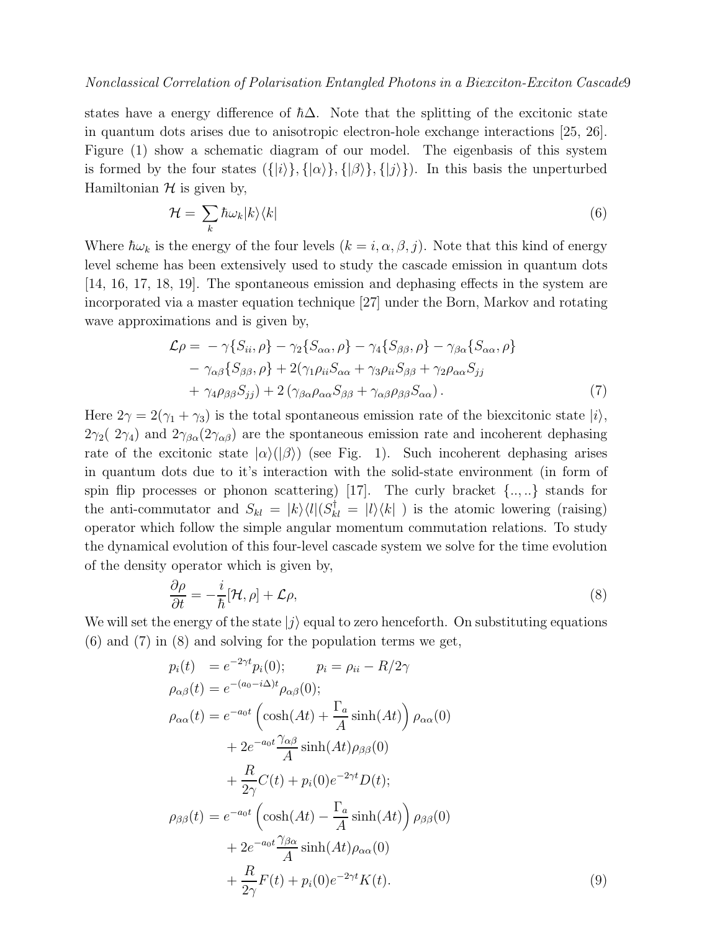states have a energy difference of  $\hbar\Delta$ . Note that the splitting of the excitonic state in quantum dots arises due to anisotropic electron-hole exchange interactions [25, 26]. Figure (1) show a schematic diagram of our model. The eigenbasis of this system is formed by the four states  $({\{|i\rangle}, {\{| \alpha \rangle\}, \{| \beta \rangle\}}, {\{| j \rangle\}})$ . In this basis the unperturbed Hamiltonian  $H$  is given by,

$$
\mathcal{H} = \sum_{k} \hbar \omega_{k} |k\rangle \langle k| \tag{6}
$$

Where  $\hbar\omega_k$  is the energy of the four levels  $(k = i, \alpha, \beta, j)$ . Note that this kind of energy level scheme has been extensively used to study the cascade emission in quantum dots [14, 16, 17, 18, 19]. The spontaneous emission and dephasing effects in the system are incorporated via a master equation technique [27] under the Born, Markov and rotating wave approximations and is given by,

$$
\mathcal{L}\rho = -\gamma \{ S_{ii}, \rho \} - \gamma_2 \{ S_{\alpha\alpha}, \rho \} - \gamma_4 \{ S_{\beta\beta}, \rho \} - \gamma_{\beta\alpha} \{ S_{\alpha\alpha}, \rho \} \n- \gamma_{\alpha\beta} \{ S_{\beta\beta}, \rho \} + 2(\gamma_1 \rho_{ii} S_{\alpha\alpha} + \gamma_3 \rho_{ii} S_{\beta\beta} + \gamma_2 \rho_{\alpha\alpha} S_{jj} \n+ \gamma_4 \rho_{\beta\beta} S_{jj}) + 2 (\gamma_{\beta\alpha} \rho_{\alpha\alpha} S_{\beta\beta} + \gamma_{\alpha\beta} \rho_{\beta\beta} S_{\alpha\alpha}).
$$
\n(7)

Here  $2\gamma = 2(\gamma_1 + \gamma_3)$  is the total spontaneous emission rate of the biexcitonic state  $|i\rangle$ ,  $2\gamma_2$  ( $2\gamma_4$ ) and  $2\gamma_{\beta\alpha}(2\gamma_{\alpha\beta})$  are the spontaneous emission rate and incoherent dephasing rate of the excitonic state  $|\alpha\rangle(|\beta\rangle)$  (see Fig. 1). Such incoherent dephasing arises in quantum dots due to it's interaction with the solid-state environment (in form of spin flip processes or phonon scattering) [17]. The curly bracket  $\{...\}$  stands for the anti-commutator and  $S_{kl} = |k\rangle\langle l|(S_{kl}^{\dagger} = |l\rangle\langle k|)$  is the atomic lowering (raising) operator which follow the simple angular momentum commutation relations. To study the dynamical evolution of this four-level cascade system we solve for the time evolution of the density operator which is given by,

$$
\frac{\partial \rho}{\partial t} = -\frac{i}{\hbar} [\mathcal{H}, \rho] + \mathcal{L}\rho,\tag{8}
$$

We will set the energy of the state  $|i\rangle$  equal to zero henceforth. On substituting equations  $(6)$  and  $(7)$  in  $(8)$  and solving for the population terms we get,

$$
p_i(t) = e^{-2\gamma t} p_i(0); \qquad p_i = \rho_{ii} - R/2\gamma
$$
  
\n
$$
\rho_{\alpha\beta}(t) = e^{-(a_0 - i\Delta)t} \rho_{\alpha\beta}(0);
$$
  
\n
$$
\rho_{\alpha\alpha}(t) = e^{-a_0 t} \left( \cosh(At) + \frac{\Gamma_a}{A} \sinh(At) \right) \rho_{\alpha\alpha}(0)
$$
  
\n
$$
+ 2e^{-a_0 t} \frac{\gamma_{\alpha\beta}}{A} \sinh(At) \rho_{\beta\beta}(0)
$$
  
\n
$$
+ \frac{R}{2\gamma} C(t) + p_i(0) e^{-2\gamma t} D(t);
$$
  
\n
$$
\rho_{\beta\beta}(t) = e^{-a_0 t} \left( \cosh(At) - \frac{\Gamma_a}{A} \sinh(At) \right) \rho_{\beta\beta}(0)
$$
  
\n
$$
+ 2e^{-a_0 t} \frac{\gamma_{\beta\alpha}}{A} \sinh(At) \rho_{\alpha\alpha}(0)
$$
  
\n
$$
+ \frac{R}{2\gamma} F(t) + p_i(0) e^{-2\gamma t} K(t).
$$
  
\n(9)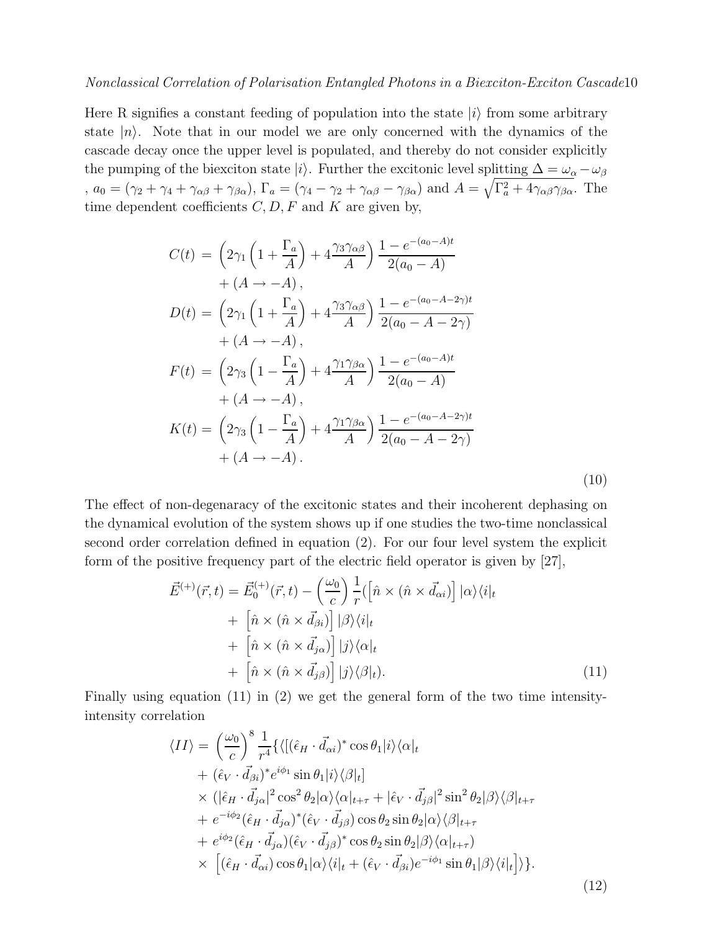Here R signifies a constant feeding of population into the state  $|i\rangle$  from some arbitrary state  $|n\rangle$ . Note that in our model we are only concerned with the dynamics of the cascade decay once the upper level is populated, and thereby do not consider explicitly the pumping of the biexciton state |i|i. Further the excitonic level splitting  $\Delta = \omega_{\alpha} - \omega_{\beta}$ ,  $a_0 = (\gamma_2 + \gamma_4 + \gamma_{\alpha\beta} + \gamma_{\beta\alpha})$ ,  $\Gamma_a = (\gamma_4 - \gamma_2 + \gamma_{\alpha\beta} - \gamma_{\beta\alpha})$  and  $A = \sqrt{\Gamma_a^2 + 4\gamma_{\alpha\beta}\gamma_{\beta\alpha}}$ . The time dependent coefficients  $C, D, F$  and  $K$  are given by,

$$
C(t) = \left(2\gamma_1 \left(1 + \frac{\Gamma_a}{A}\right) + 4\frac{\gamma_3 \gamma_{\alpha\beta}}{A}\right) \frac{1 - e^{-(a_0 - A)t}}{2(a_0 - A)}
$$
  
+  $(A \to -A)$ ,  

$$
D(t) = \left(2\gamma_1 \left(1 + \frac{\Gamma_a}{A}\right) + 4\frac{\gamma_3 \gamma_{\alpha\beta}}{A}\right) \frac{1 - e^{-(a_0 - A - 2\gamma)t}}{2(a_0 - A - 2\gamma)}
$$
  
+  $(A \to -A)$ ,  

$$
F(t) = \left(2\gamma_3 \left(1 - \frac{\Gamma_a}{A}\right) + 4\frac{\gamma_1 \gamma_{\beta\alpha}}{A}\right) \frac{1 - e^{-(a_0 - A)t}}{2(a_0 - A)}
$$
  
+  $(A \to -A)$ ,  

$$
K(t) = \left(2\gamma_3 \left(1 - \frac{\Gamma_a}{A}\right) + 4\frac{\gamma_1 \gamma_{\beta\alpha}}{A}\right) \frac{1 - e^{-(a_0 - A - 2\gamma)t}}{2(a_0 - A - 2\gamma)}
$$
  
+  $(A \to -A)$ . (10)

The effect of non-degenaracy of the excitonic states and their incoherent dephasing on the dynamical evolution of the system shows up if one studies the two-time nonclassical second order correlation defined in equation (2). For our four level system the explicit form of the positive frequency part of the electric field operator is given by [27],

$$
\vec{E}^{(+)}(\vec{r},t) = \vec{E}_0^{(+)}(\vec{r},t) - \left(\frac{\omega_0}{c}\right) \frac{1}{r} (\left[\hat{n} \times (\hat{n} \times \vec{d}_{\alpha i})\right] |\alpha\rangle\langle i|_t \n+ \left[\hat{n} \times (\hat{n} \times \vec{d}_{\beta i})\right] |\beta\rangle\langle i|_t \n+ \left[\hat{n} \times (\hat{n} \times \vec{d}_{\beta 0})\right] |j\rangle\langle\alpha|_t \n+ \left[\hat{n} \times (\hat{n} \times \vec{d}_{\beta 0})\right] |j\rangle\langle\beta|_t).
$$
\n(11)

Finally using equation (11) in (2) we get the general form of the two time intensityintensity correlation

$$
\langle II \rangle = \left(\frac{\omega_0}{c}\right)^8 \frac{1}{r^4} \{ \langle [(\hat{\epsilon}_H \cdot \vec{d}_{\alpha i})^* \cos \theta_1 | i \rangle \langle \alpha |_t + (\hat{\epsilon}_V \cdot \vec{d}_{\beta i})^* e^{i\phi_1} \sin \theta_1 | i \rangle \langle \beta |_t ] \times (|\hat{\epsilon}_H \cdot \vec{d}_{\beta \alpha}|^2 \cos^2 \theta_2 | \alpha \rangle \langle \alpha |_{t+\tau} + |\hat{\epsilon}_V \cdot \vec{d}_{\beta \beta}|^2 \sin^2 \theta_2 | \beta \rangle \langle \beta |_{t+\tau} + e^{-i\phi_2} (\hat{\epsilon}_H \cdot \vec{d}_{\beta \alpha})^* (\hat{\epsilon}_V \cdot \vec{d}_{\beta \beta}) \cos \theta_2 \sin \theta_2 | \alpha \rangle \langle \beta |_{t+\tau} + e^{i\phi_2} (\hat{\epsilon}_H \cdot \vec{d}_{\beta \alpha}) (\hat{\epsilon}_V \cdot \vec{d}_{\beta \beta})^* \cos \theta_2 \sin \theta_2 | \beta \rangle \langle \alpha |_{t+\tau} ) \times [(\hat{\epsilon}_H \cdot \vec{d}_{\alpha i}) \cos \theta_1 | \alpha \rangle \langle i |_t + (\hat{\epsilon}_V \cdot \vec{d}_{\beta i}) e^{-i\phi_1} \sin \theta_1 | \beta \rangle \langle i |_t ] \rangle ].
$$
\n(12)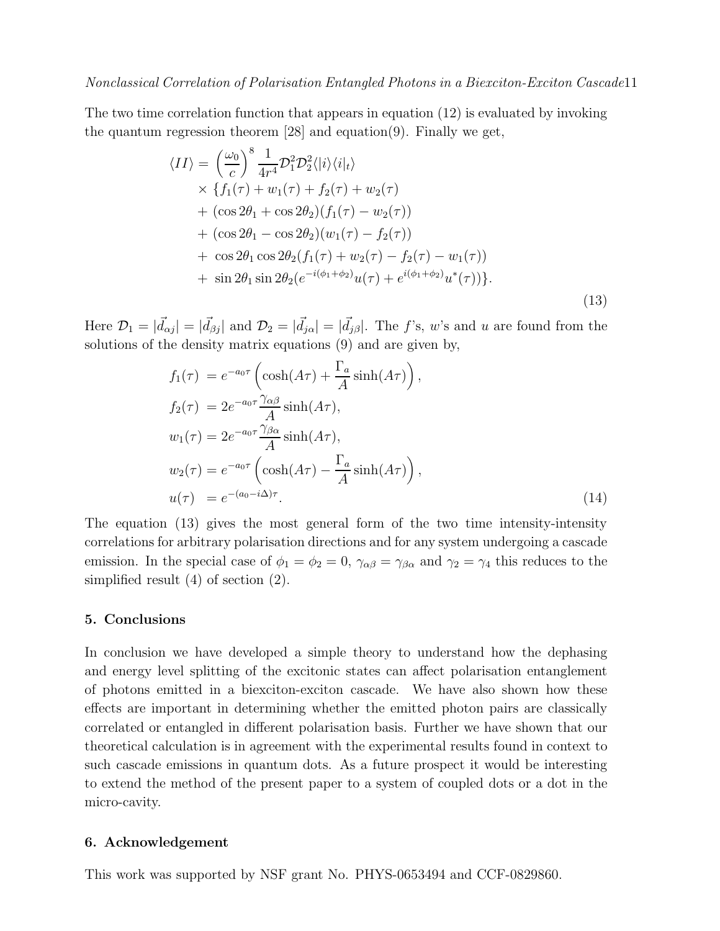The two time correlation function that appears in equation (12) is evaluated by invoking the quantum regression theorem [28] and equation(9). Finally we get,

$$
\langle II \rangle = \left(\frac{\omega_0}{c}\right)^8 \frac{1}{4r^4} \mathcal{D}_1^2 \mathcal{D}_2^2 \langle |i\rangle \langle i|_t \rangle \times \{f_1(\tau) + w_1(\tau) + f_2(\tau) + w_2(\tau) + (\cos 2\theta_1 + \cos 2\theta_2)(f_1(\tau) - w_2(\tau)) + (\cos 2\theta_1 - \cos 2\theta_2)(w_1(\tau) - f_2(\tau)) + \cos 2\theta_1 \cos 2\theta_2 (f_1(\tau) + w_2(\tau) - f_2(\tau) - w_1(\tau)) + \sin 2\theta_1 \sin 2\theta_2 (e^{-i(\phi_1 + \phi_2)}u(\tau) + e^{i(\phi_1 + \phi_2)}u^*(\tau)) \}.
$$
\n(13)

Here  $\mathcal{D}_1 = |\vec{d}_{\alpha j}| = |\vec{d}_{\beta j}|$  and  $\mathcal{D}_2 = |\vec{d}_{j\alpha}| = |\vec{d}_{j\beta}|$ . The f's, w's and u are found from the solutions of the density matrix equations (9) and are given by,

$$
f_1(\tau) = e^{-a_0 \tau} \left( \cosh(A\tau) + \frac{\Gamma_a}{A} \sinh(A\tau) \right),
$$
  
\n
$$
f_2(\tau) = 2e^{-a_0 \tau} \frac{\gamma_{\alpha\beta}}{A} \sinh(A\tau),
$$
  
\n
$$
w_1(\tau) = 2e^{-a_0 \tau} \frac{\gamma_{\beta\alpha}}{A} \sinh(A\tau),
$$
  
\n
$$
w_2(\tau) = e^{-a_0 \tau} \left( \cosh(A\tau) - \frac{\Gamma_a}{A} \sinh(A\tau) \right),
$$
  
\n
$$
u(\tau) = e^{-(a_0 - i\Delta)\tau}.
$$
\n(14)

The equation (13) gives the most general form of the two time intensity-intensity correlations for arbitrary polarisation directions and for any system undergoing a cascade emission. In the special case of  $\phi_1 = \phi_2 = 0$ ,  $\gamma_{\alpha\beta} = \gamma_{\beta\alpha}$  and  $\gamma_2 = \gamma_4$  this reduces to the simplified result (4) of section (2).

## 5. Conclusions

In conclusion we have developed a simple theory to understand how the dephasing and energy level splitting of the excitonic states can affect polarisation entanglement of photons emitted in a biexciton-exciton cascade. We have also shown how these effects are important in determining whether the emitted photon pairs are classically correlated or entangled in different polarisation basis. Further we have shown that our theoretical calculation is in agreement with the experimental results found in context to such cascade emissions in quantum dots. As a future prospect it would be interesting to extend the method of the present paper to a system of coupled dots or a dot in the micro-cavity.

#### 6. Acknowledgement

This work was supported by NSF grant No. PHYS-0653494 and CCF-0829860.